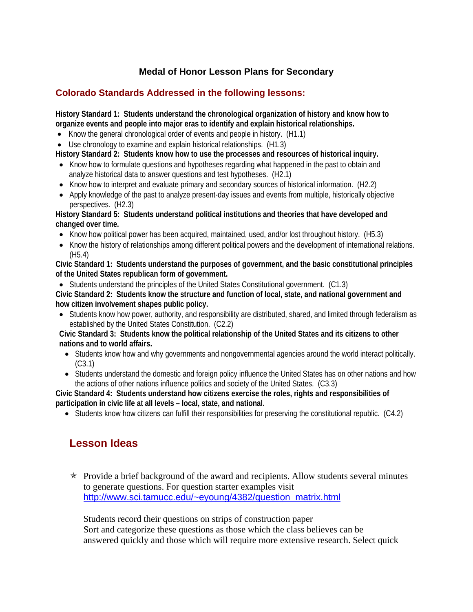## **Medal of Honor Lesson Plans for Secondary**

## **Colorado Standards Addressed in the following lessons:**

**History Standard 1: Students understand the chronological organization of history and know how to organize events and people into major eras to identify and explain historical relationships.** 

- Know the general chronological order of events and people in history. (H1.1)
- Use chronology to examine and explain historical relationships. (H1.3)

**History Standard 2: Students know how to use the processes and resources of historical inquiry.** 

- Know how to formulate questions and hypotheses regarding what happened in the past to obtain and analyze historical data to answer questions and test hypotheses. (H2.1)
- Know how to interpret and evaluate primary and secondary sources of historical information. (H2.2)
- Apply knowledge of the past to analyze present-day issues and events from multiple, historically objective perspectives. (H2.3)

#### **History Standard 5: Students understand political institutions and theories that have developed and changed over time.**

- Know how political power has been acquired, maintained, used, and/or lost throughout history. (H5.3)
- Know the history of relationships among different political powers and the development of international relations. (H5.4)

**Civic Standard 1: Students understand the purposes of government, and the basic constitutional principles of the United States republican form of government.** 

• Students understand the principles of the United States Constitutional government. (C1.3)

**Civic Standard 2: Students know the structure and function of local, state, and national government and how citizen involvement shapes public policy.** 

• Students know how power, authority, and responsibility are distributed, shared, and limited through federalism as established by the United States Constitution. (C2.2)

**Civic Standard 3: Students know the political relationship of the United States and its citizens to other nations and to world affairs.** 

- Students know how and why governments and nongovernmental agencies around the world interact politically. (C3.1)
- Students understand the domestic and foreign policy influence the United States has on other nations and how the actions of other nations influence politics and society of the United States. (C3.3)

**Civic Standard 4: Students understand how citizens exercise the roles, rights and responsibilities of participation in civic life at all levels – local, state, and national.** 

• Students know how citizens can fulfill their responsibilities for preserving the constitutional republic. (C4.2)

# **Lesson Ideas**

 $\star$  Provide a brief background of the award and recipients. Allow students several minutes to generate questions. For question starter examples visit [http://www.sci.tamucc.edu/~eyoung/4382/question\\_matrix.html](http://www.sci.tamucc.edu/%7Eeyoung/4382/question_matrix.html)

 Students record their questions on strips of construction paper Sort and categorize these questions as those which the class believes can be answered quickly and those which will require more extensive research. Select quick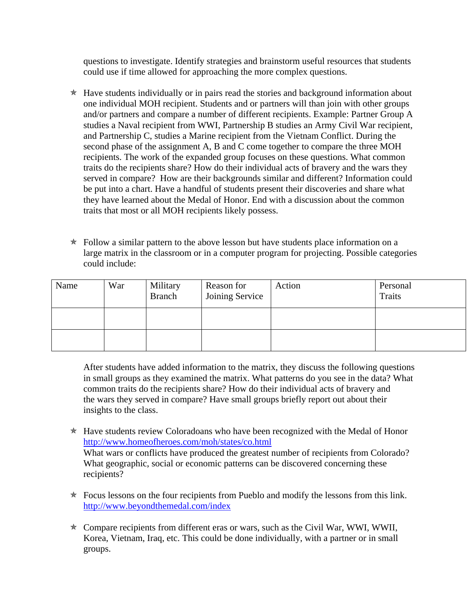questions to investigate. Identify strategies and brainstorm useful resources that students could use if time allowed for approaching the more complex questions.

- $*$  Have students individually or in pairs read the stories and background information about one individual MOH recipient. Students and or partners will than join with other groups and/or partners and compare a number of different recipients. Example: Partner Group A studies a Naval recipient from WWI, Partnership B studies an Army Civil War recipient, and Partnership C, studies a Marine recipient from the Vietnam Conflict. During the second phase of the assignment A, B and C come together to compare the three MOH recipients. The work of the expanded group focuses on these questions. What common traits do the recipients share? How do their individual acts of bravery and the wars they served in compare? How are their backgrounds similar and different? Information could be put into a chart. Have a handful of students present their discoveries and share what they have learned about the Medal of Honor. End with a discussion about the common traits that most or all MOH recipients likely possess.
- $\star$  Follow a similar pattern to the above lesson but have students place information on a large matrix in the classroom or in a computer program for projecting. Possible categories could include:

| Name | War | Military<br><b>Branch</b> | Reason for<br>Joining Service | Action | Personal<br><b>Traits</b> |
|------|-----|---------------------------|-------------------------------|--------|---------------------------|
|      |     |                           |                               |        |                           |
|      |     |                           |                               |        |                           |

 After students have added information to the matrix, they discuss the following questions in small groups as they examined the matrix. What patterns do you see in the data? What common traits do the recipients share? How do their individual acts of bravery and the wars they served in compare? Have small groups briefly report out about their insights to the class.

- $*$  Have students review Coloradoans who have been recognized with the Medal of Honor <http://www.homeofheroes.com/moh/states/co.html> What wars or conflicts have produced the greatest number of recipients from Colorado? What geographic, social or economic patterns can be discovered concerning these recipients?
- $\star$  Focus lessons on the four recipients from Pueblo and modify the lessons from this link. <http://www.beyondthemedal.com/index>
- $\star$  Compare recipients from different eras or wars, such as the Civil War, WWI, WWII, Korea, Vietnam, Iraq, etc. This could be done individually, with a partner or in small groups.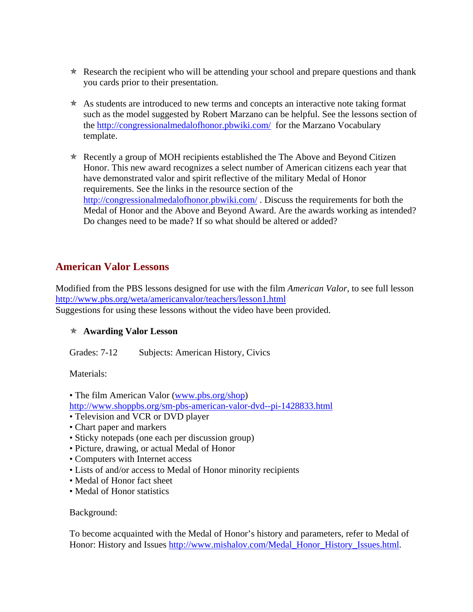- $\star$  Research the recipient who will be attending your school and prepare questions and thank you cards prior to their presentation.
- $\star$  As students are introduced to new terms and concepts an interactive note taking format such as the model suggested by Robert Marzano can be helpful. See the lessons section of the <http://congressionalmedalofhonor.pbwiki.com/>for the Marzano Vocabulary template.
- $\star$  Recently a group of MOH recipients established the The Above and Beyond Citizen Honor. This new award recognizes a select number of American citizens each year that have demonstrated valor and spirit reflective of the military Medal of Honor requirements. See the links in the resource section of the <http://congressionalmedalofhonor.pbwiki.com/>. Discuss the requirements for both the Medal of Honor and the Above and Beyond Award. Are the awards working as intended? Do changes need to be made? If so what should be altered or added?

## **American Valor Lessons**

Modified from the PBS lessons designed for use with the film *American Valor*, to see full lesson <http://www.pbs.org/weta/americanvalor/teachers/lesson1.html> Suggestions for using these lessons without the video have been provided.

## Õ **Awarding Valor Lesson**

Grades: 7-12 Subjects: American History, Civics

Materials:

- The film American Valor [\(www.pbs.org/shop](http://www.pbs.org/shop))
- <http://www.shoppbs.org/sm-pbs-american-valor-dvd--pi-1428833.html>
- Television and VCR or DVD player
- Chart paper and markers
- Sticky notepads (one each per discussion group)
- Picture, drawing, or actual Medal of Honor
- Computers with Internet access
- Lists of and/or access to Medal of Honor minority recipients
- Medal of Honor fact sheet
- Medal of Honor statistics

#### Background:

To become acquainted with the Medal of Honor's history and parameters, refer to Medal of Honor: History and Issues [http://www.mishalov.com/Medal\\_Honor\\_History\\_Issues.html.](http://www.mishalov.com/Medal_Honor_History_Issues.html)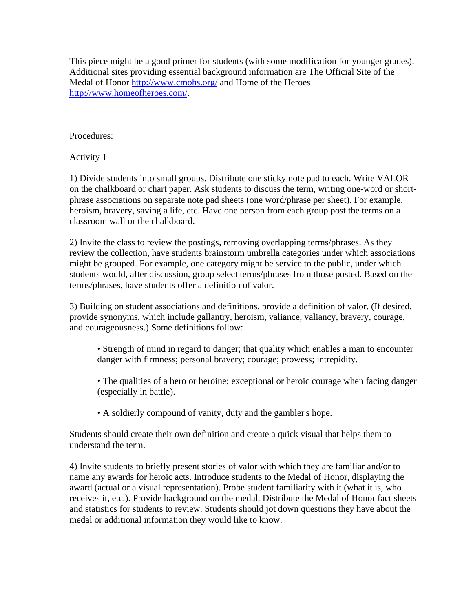This piece might be a good primer for students (with some modification for younger grades). Additional sites providing essential background information are The Official Site of the Medal of Honor<http://www.cmohs.org/>and Home of the Heroes [http://www.homeofheroes.com/.](http://www.homeofheroes.com/)

## Procedures:

Activity 1

1) Divide students into small groups. Distribute one sticky note pad to each. Write VALOR on the chalkboard or chart paper. Ask students to discuss the term, writing one-word or shortphrase associations on separate note pad sheets (one word/phrase per sheet). For example, heroism, bravery, saving a life, etc. Have one person from each group post the terms on a classroom wall or the chalkboard.

2) Invite the class to review the postings, removing overlapping terms/phrases. As they review the collection, have students brainstorm umbrella categories under which associations might be grouped. For example, one category might be service to the public, under which students would, after discussion, group select terms/phrases from those posted. Based on the terms/phrases, have students offer a definition of valor.

3) Building on student associations and definitions, provide a definition of valor. (If desired, provide synonyms, which include gallantry, heroism, valiance, valiancy, bravery, courage, and courageousness.) Some definitions follow:

- Strength of mind in regard to danger; that quality which enables a man to encounter danger with firmness; personal bravery; courage; prowess; intrepidity.
- The qualities of a hero or heroine; exceptional or heroic courage when facing danger (especially in battle).
- A soldierly compound of vanity, duty and the gambler's hope.

Students should create their own definition and create a quick visual that helps them to understand the term.

4) Invite students to briefly present stories of valor with which they are familiar and/or to name any awards for heroic acts. Introduce students to the Medal of Honor, displaying the award (actual or a visual representation). Probe student familiarity with it (what it is, who receives it, etc.). Provide background on the medal. Distribute the Medal of Honor fact sheets and statistics for students to review. Students should jot down questions they have about the medal or additional information they would like to know.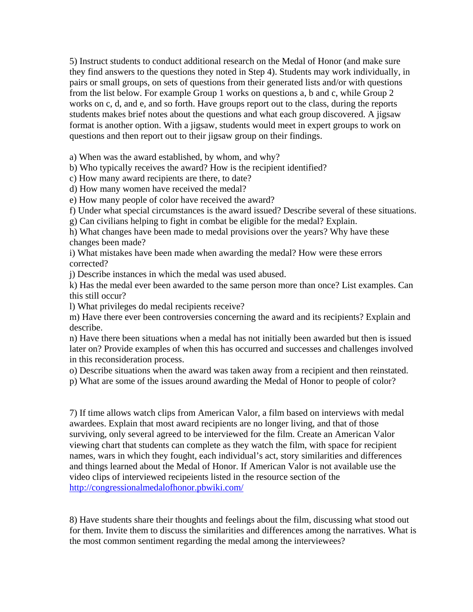5) Instruct students to conduct additional research on the Medal of Honor (and make sure they find answers to the questions they noted in Step 4). Students may work individually, in pairs or small groups, on sets of questions from their generated lists and/or with questions from the list below. For example Group 1 works on questions a, b and c, while Group 2 works on c, d, and e, and so forth. Have groups report out to the class, during the reports students makes brief notes about the questions and what each group discovered. A jigsaw format is another option. With a jigsaw, students would meet in expert groups to work on questions and then report out to their jigsaw group on their findings.

a) When was the award established, by whom, and why?

b) Who typically receives the award? How is the recipient identified?

c) How many award recipients are there, to date?

d) How many women have received the medal?

e) How many people of color have received the award?

f) Under what special circumstances is the award issued? Describe several of these situations.

g) Can civilians helping to fight in combat be eligible for the medal? Explain.

h) What changes have been made to medal provisions over the years? Why have these changes been made?

i) What mistakes have been made when awarding the medal? How were these errors corrected?

j) Describe instances in which the medal was used abused.

k) Has the medal ever been awarded to the same person more than once? List examples. Can this still occur?

l) What privileges do medal recipients receive?

m) Have there ever been controversies concerning the award and its recipients? Explain and describe.

n) Have there been situations when a medal has not initially been awarded but then is issued later on? Provide examples of when this has occurred and successes and challenges involved in this reconsideration process.

o) Describe situations when the award was taken away from a recipient and then reinstated.

p) What are some of the issues around awarding the Medal of Honor to people of color?

7) If time allows watch clips from American Valor, a film based on interviews with medal awardees. Explain that most award recipients are no longer living, and that of those surviving, only several agreed to be interviewed for the film. Create an American Valor viewing chart that students can complete as they watch the film, with space for recipient names, wars in which they fought, each individual's act, story similarities and differences and things learned about the Medal of Honor. If American Valor is not available use the video clips of interviewed recipeients listed in the resource section of the <http://congressionalmedalofhonor.pbwiki.com/>

8) Have students share their thoughts and feelings about the film, discussing what stood out for them. Invite them to discuss the similarities and differences among the narratives. What is the most common sentiment regarding the medal among the interviewees?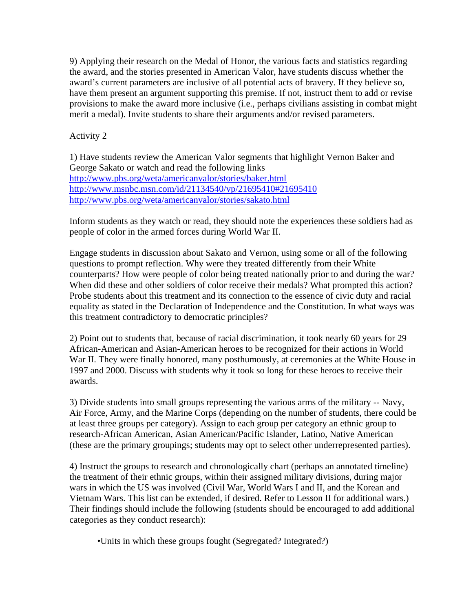9) Applying their research on the Medal of Honor, the various facts and statistics regarding the award, and the stories presented in American Valor, have students discuss whether the award's current parameters are inclusive of all potential acts of bravery. If they believe so, have them present an argument supporting this premise. If not, instruct them to add or revise provisions to make the award more inclusive (i.e., perhaps civilians assisting in combat might merit a medal). Invite students to share their arguments and/or revised parameters.

## Activity 2

1) Have students review the American Valor segments that highlight Vernon Baker and George Sakato or watch and read the following links <http://www.pbs.org/weta/americanvalor/stories/baker.html> <http://www.msnbc.msn.com/id/21134540/vp/21695410#21695410> <http://www.pbs.org/weta/americanvalor/stories/sakato.html>

Inform students as they watch or read, they should note the experiences these soldiers had as people of color in the armed forces during World War II.

Engage students in discussion about Sakato and Vernon, using some or all of the following questions to prompt reflection. Why were they treated differently from their White counterparts? How were people of color being treated nationally prior to and during the war? When did these and other soldiers of color receive their medals? What prompted this action? Probe students about this treatment and its connection to the essence of civic duty and racial equality as stated in the Declaration of Independence and the Constitution. In what ways was this treatment contradictory to democratic principles?

2) Point out to students that, because of racial discrimination, it took nearly 60 years for 29 African-American and Asian-American heroes to be recognized for their actions in World War II. They were finally honored, many posthumously, at ceremonies at the White House in 1997 and 2000. Discuss with students why it took so long for these heroes to receive their awards.

3) Divide students into small groups representing the various arms of the military -- Navy, Air Force, Army, and the Marine Corps (depending on the number of students, there could be at least three groups per category). Assign to each group per category an ethnic group to research-African American, Asian American/Pacific Islander, Latino, Native American (these are the primary groupings; students may opt to select other underrepresented parties).

4) Instruct the groups to research and chronologically chart (perhaps an annotated timeline) the treatment of their ethnic groups, within their assigned military divisions, during major wars in which the US was involved (Civil War, World Wars I and II, and the Korean and Vietnam Wars. This list can be extended, if desired. Refer to Lesson II for additional wars.) Their findings should include the following (students should be encouraged to add additional categories as they conduct research):

•Units in which these groups fought (Segregated? Integrated?)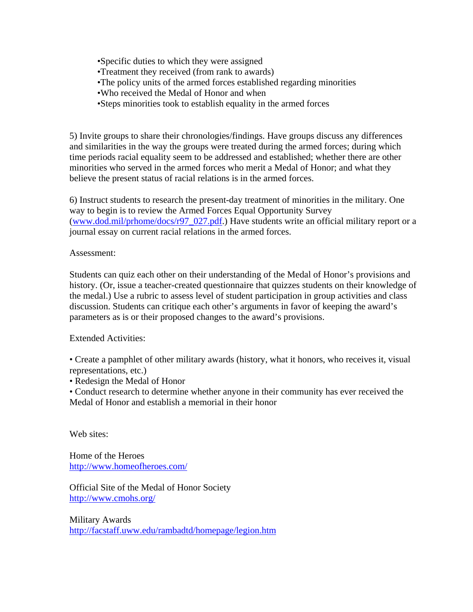•Specific duties to which they were assigned •Treatment they received (from rank to awards) •The policy units of the armed forces established regarding minorities •Who received the Medal of Honor and when •Steps minorities took to establish equality in the armed forces

5) Invite groups to share their chronologies/findings. Have groups discuss any differences and similarities in the way the groups were treated during the armed forces; during which time periods racial equality seem to be addressed and established; whether there are other minorities who served in the armed forces who merit a Medal of Honor; and what they believe the present status of racial relations is in the armed forces.

6) Instruct students to research the present-day treatment of minorities in the military. One way to begin is to review the Armed Forces Equal Opportunity Survey ([www.dod.mil/prhome/docs/r97\\_027.pdf.](http://www.dod.mil/prhome/docs/r97_027.pdf)) Have students write an official military report or a journal essay on current racial relations in the armed forces.

#### Assessment:

Students can quiz each other on their understanding of the Medal of Honor's provisions and history. (Or, issue a teacher-created questionnaire that quizzes students on their knowledge of the medal.) Use a rubric to assess level of student participation in group activities and class discussion. Students can critique each other's arguments in favor of keeping the award's parameters as is or their proposed changes to the award's provisions.

Extended Activities:

• Create a pamphlet of other military awards (history, what it honors, who receives it, visual representations, etc.)

• Redesign the Medal of Honor

• Conduct research to determine whether anyone in their community has ever received the Medal of Honor and establish a memorial in their honor

Web sites:

Home of the Heroes <http://www.homeofheroes.com/>

Official Site of the Medal of Honor Society <http://www.cmohs.org/>

Military Awards <http://facstaff.uww.edu/rambadtd/homepage/legion.htm>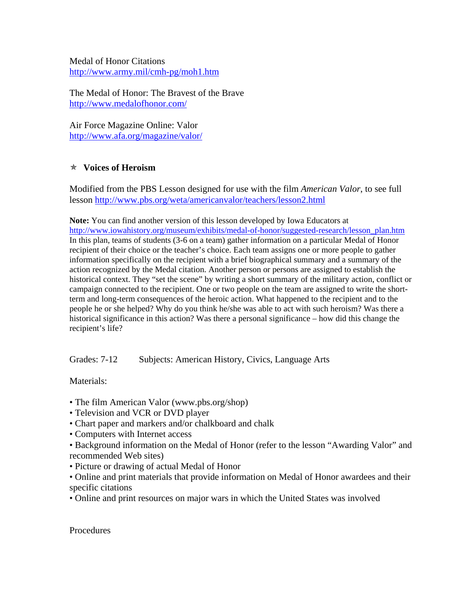Medal of Honor Citations <http://www.army.mil/cmh-pg/moh1.htm>

The Medal of Honor: The Bravest of the Brave <http://www.medalofhonor.com/>

Air Force Magazine Online: Valor <http://www.afa.org/magazine/valor/>

## Õ **Voices of Heroism**

Modified from the PBS Lesson designed for use with the film *American Valor*, to see full lesson<http://www.pbs.org/weta/americanvalor/teachers/lesson2.html>

**Note:** You can find another version of this lesson developed by Iowa Educators at [http://www.iowahistory.org/museum/exhibits/medal-of-honor/suggested-research/lesson\\_plan.htm](http://www.iowahistory.org/museum/exhibits/medal-of-honor/suggested-research/lesson_plan.htm) In this plan, teams of students (3-6 on a team) gather information on a particular Medal of Honor recipient of their choice or the teacher's choice. Each team assigns one or more people to gather information specifically on the recipient with a brief biographical summary and a summary of the action recognized by the Medal citation. Another person or persons are assigned to establish the historical context. They "set the scene" by writing a short summary of the military action, conflict or campaign connected to the recipient. One or two people on the team are assigned to write the shortterm and long-term consequences of the heroic action. What happened to the recipient and to the people he or she helped? Why do you think he/she was able to act with such heroism? Was there a historical significance in this action? Was there a personal significance – how did this change the recipient's life?

Grades: 7-12 Subjects: American History, Civics, Language Arts

Materials:

- The film American Valor (www.pbs.org/shop)
- Television and VCR or DVD player
- Chart paper and markers and/or chalkboard and chalk
- Computers with Internet access
- Background information on the Medal of Honor (refer to the lesson "Awarding Valor" and recommended Web sites)
- Picture or drawing of actual Medal of Honor
- Online and print materials that provide information on Medal of Honor awardees and their specific citations
- Online and print resources on major wars in which the United States was involved

**Procedures**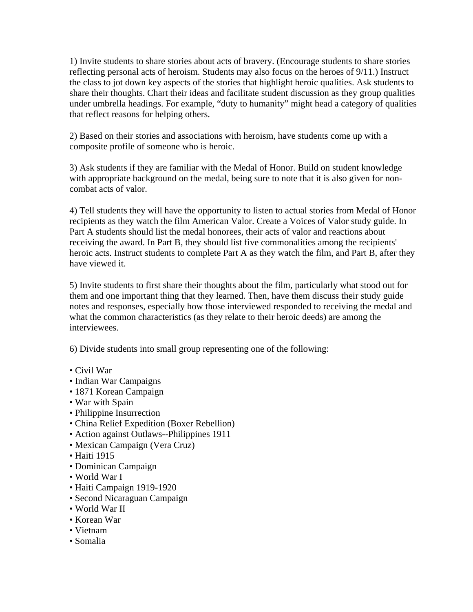1) Invite students to share stories about acts of bravery. (Encourage students to share stories reflecting personal acts of heroism. Students may also focus on the heroes of 9/11.) Instruct the class to jot down key aspects of the stories that highlight heroic qualities. Ask students to share their thoughts. Chart their ideas and facilitate student discussion as they group qualities under umbrella headings. For example, "duty to humanity" might head a category of qualities that reflect reasons for helping others.

2) Based on their stories and associations with heroism, have students come up with a composite profile of someone who is heroic.

3) Ask students if they are familiar with the Medal of Honor. Build on student knowledge with appropriate background on the medal, being sure to note that it is also given for noncombat acts of valor.

4) Tell students they will have the opportunity to listen to actual stories from Medal of Honor recipients as they watch the film American Valor. Create a Voices of Valor study guide. In Part A students should list the medal honorees, their acts of valor and reactions about receiving the award. In Part B, they should list five commonalities among the recipients' heroic acts. Instruct students to complete Part A as they watch the film, and Part B, after they have viewed it.

5) Invite students to first share their thoughts about the film, particularly what stood out for them and one important thing that they learned. Then, have them discuss their study guide notes and responses, especially how those interviewed responded to receiving the medal and what the common characteristics (as they relate to their heroic deeds) are among the interviewees.

6) Divide students into small group representing one of the following:

- Civil War
- Indian War Campaigns
- 1871 Korean Campaign
- War with Spain
- Philippine Insurrection
- China Relief Expedition (Boxer Rebellion)
- Action against Outlaws--Philippines 1911
- Mexican Campaign (Vera Cruz)
- Haiti 1915
- Dominican Campaign
- World War I
- Haiti Campaign 1919-1920
- Second Nicaraguan Campaign
- World War II
- Korean War
- Vietnam
- Somalia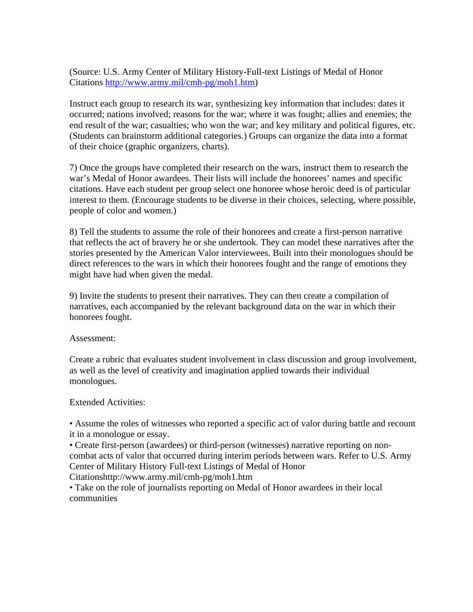(Source: U.S. Army Center of Military History-Full-text Listings of Medal of Honor Citations [http://www.army.mil/cmh-pg/moh1.htm\)](http://www.army.mil/cmh-pg/moh1.htm)

Instruct each group to research its war, synthesizing key information that includes: dates it occurred; nations involved; reasons for the war; where it was fought; allies and enemies; the end result of the war; casualties; who won the war; and key military and political figures, etc. (Students can brainstorm additional categories.) Groups can organize the data into a format of their choice (graphic organizers, charts).

7) Once the groups have completed their research on the wars, instruct them to research the war's Medal of Honor awardees. Their lists will include the honorees' names and specific citations. Have each student per group select one honoree whose heroic deed is of particular interest to them. (Encourage students to be diverse in their choices, selecting, where possible, people of color and women.)

8) Tell the students to assume the role of their honorees and create a first-person narrative that reflects the act of bravery he or she undertook. They can model these narratives after the stories presented by the American Valor interviewees. Built into their monologues should be direct references to the wars in which their honorees fought and the range of emotions they might have had when given the medal.

9) Invite the students to present their narratives. They can then create a compilation of narratives, each accompanied by the relevant background data on the war in which their honorees fought.

Assessment:

Create a rubric that evaluates student involvement in class discussion and group involvement, as well as the level of creativity and imagination applied towards their individual monologues.

Extended Activities:

• Assume the roles of witnesses who reported a specific act of valor during battle and recount it in a monologue or essay.

• Create first-person (awardees) or third-person (witnesses) narrative reporting on noncombat acts of valor that occurred during interim periods between wars. Refer to U.S. Army Center of Military History Full-text Listings of Medal of Honor Citationshttp://www.army.mil/cmh-pg/moh1.htm

• Take on the role of journalists reporting on Medal of Honor awardees in their local

communities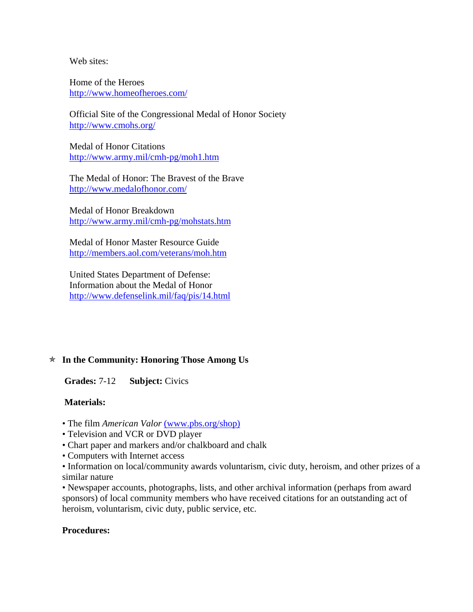Web sites:

Home of the Heroes <http://www.homeofheroes.com/>

Official Site of the Congressional Medal of Honor Society <http://www.cmohs.org/>

Medal of Honor Citations <http://www.army.mil/cmh-pg/moh1.htm>

The Medal of Honor: The Bravest of the Brave <http://www.medalofhonor.com/>

Medal of Honor Breakdown <http://www.army.mil/cmh-pg/mohstats.htm>

Medal of Honor Master Resource Guide <http://members.aol.com/veterans/moh.htm>

United States Department of Defense: Information about the Medal of Honor <http://www.defenselink.mil/faq/pis/14.html>

## Õ **In the Community: Honoring Those Among Us**

**Grades:** 7-12 **Subject:** Civics

#### **Materials:**

- The film *American Valor* [\(www.pbs.org/shop\)](http://www.pbs.org/shop)
- Television and VCR or DVD player
- Chart paper and markers and/or chalkboard and chalk
- Computers with Internet access

• Information on local/community awards voluntarism, civic duty, heroism, and other prizes of a similar nature

• Newspaper accounts, photographs, lists, and other archival information (perhaps from award sponsors) of local community members who have received citations for an outstanding act of heroism, voluntarism, civic duty, public service, etc.

#### **Procedures:**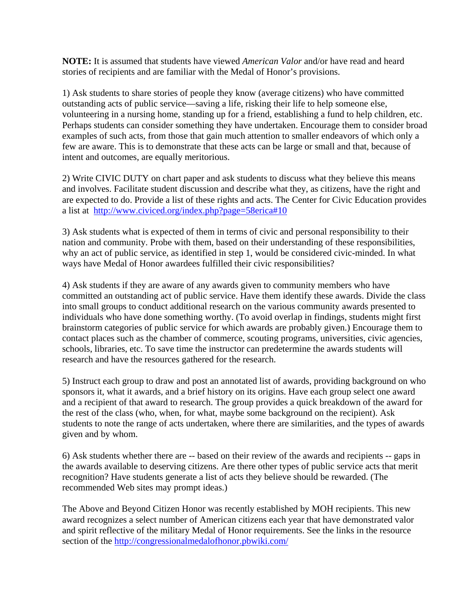**NOTE:** It is assumed that students have viewed *American Valor* and/or have read and heard stories of recipients and are familiar with the Medal of Honor's provisions.

1) Ask students to share stories of people they know (average citizens) who have committed outstanding acts of public service—saving a life, risking their life to help someone else, volunteering in a nursing home, standing up for a friend, establishing a fund to help children, etc. Perhaps students can consider something they have undertaken. Encourage them to consider broad examples of such acts, from those that gain much attention to smaller endeavors of which only a few are aware. This is to demonstrate that these acts can be large or small and that, because of intent and outcomes, are equally meritorious.

2) Write CIVIC DUTY on chart paper and ask students to discuss what they believe this means and involves. Facilitate student discussion and describe what they, as citizens, have the right and are expected to do. Provide a list of these rights and acts. The Center for Civic Education provides a list at http://www.civiced.org/index.php?page=58erica#10

3) Ask students what is expected of them in terms of civic and personal responsibility to their nation and community. Probe with them, based on their understanding of these responsibilities, why an act of public service, as identified in step 1, would be considered civic-minded. In what ways have Medal of Honor awardees fulfilled their civic responsibilities?

4) Ask students if they are aware of any awards given to community members who have committed an outstanding act of public service. Have them identify these awards. Divide the class into small groups to conduct additional research on the various community awards presented to individuals who have done something worthy. (To avoid overlap in findings, students might first brainstorm categories of public service for which awards are probably given.) Encourage them to contact places such as the chamber of commerce, scouting programs, universities, civic agencies, schools, libraries, etc. To save time the instructor can predetermine the awards students will research and have the resources gathered for the research.

5) Instruct each group to draw and post an annotated list of awards, providing background on who sponsors it, what it awards, and a brief history on its origins. Have each group select one award and a recipient of that award to research. The group provides a quick breakdown of the award for the rest of the class (who, when, for what, maybe some background on the recipient). Ask students to note the range of acts undertaken, where there are similarities, and the types of awards given and by whom.

6) Ask students whether there are -- based on their review of the awards and recipients -- gaps in the awards available to deserving citizens. Are there other types of public service acts that merit recognition? Have students generate a list of acts they believe should be rewarded. (The recommended Web sites may prompt ideas.)

The Above and Beyond Citizen Honor was recently established by MOH recipients. This new award recognizes a select number of American citizens each year that have demonstrated valor and spirit reflective of the military Medal of Honor requirements. See the links in the resource section of the<http://congressionalmedalofhonor.pbwiki.com/>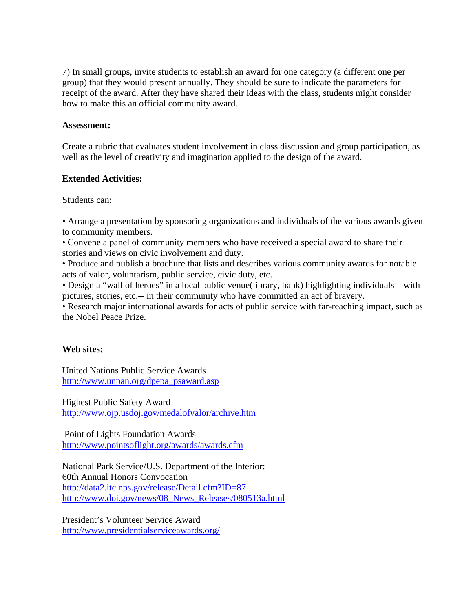7) In small groups, invite students to establish an award for one category (a different one per group) that they would present annually. They should be sure to indicate the parameters for receipt of the award. After they have shared their ideas with the class, students might consider how to make this an official community award.

#### **Assessment:**

Create a rubric that evaluates student involvement in class discussion and group participation, as well as the level of creativity and imagination applied to the design of the award.

#### **Extended Activities:**

Students can:

• Arrange a presentation by sponsoring organizations and individuals of the various awards given to community members.

• Convene a panel of community members who have received a special award to share their stories and views on civic involvement and duty.

• Produce and publish a brochure that lists and describes various community awards for notable acts of valor, voluntarism, public service, civic duty, etc.

• Design a "wall of heroes" in a local public venue(library, bank) highlighting individuals—with pictures, stories, etc.-- in their community who have committed an act of bravery.

• Research major international awards for acts of public service with far-reaching impact, such as the Nobel Peace Prize.

#### **Web sites:**

United Nations Public Service Awards [http://www.unpan.org/dpepa\\_psaward.asp](http://www.unpan.org/dpepa_psaward.asp)

Highest Public Safety Award <http://www.ojp.usdoj.gov/medalofvalor/archive.htm>

 Point of Lights Foundation Awards <http://www.pointsoflight.org/awards/awards.cfm>

National Park Service/U.S. Department of the Interior: 60th Annual Honors Convocation <http://data2.itc.nps.gov/release/Detail.cfm?ID=87> [http://www.doi.gov/news/08\\_News\\_Releases/080513a.html](http://www.doi.gov/news/08_News_Releases/080513a.html)

President's Volunteer Service Award <http://www.presidentialserviceawards.org/>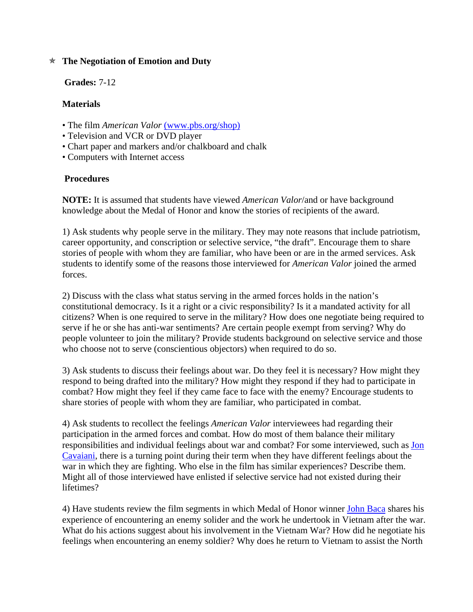## Õ **The Negotiation of Emotion and Duty**

**Grades:** 7-12

## **Materials**

- The film *American Valor* [\(www.pbs.org/shop\)](http://www.pbs.org/shop)
- Television and VCR or DVD player
- Chart paper and markers and/or chalkboard and chalk
- Computers with Internet access

## **Procedures**

**NOTE:** It is assumed that students have viewed *American Valor*/and or have background knowledge about the Medal of Honor and know the stories of recipients of the award.

1) Ask students why people serve in the military. They may note reasons that include patriotism, career opportunity, and conscription or selective service, "the draft". Encourage them to share stories of people with whom they are familiar, who have been or are in the armed services. Ask students to identify some of the reasons those interviewed for *American Valor* joined the armed forces.

2) Discuss with the class what status serving in the armed forces holds in the nation's constitutional democracy. Is it a right or a civic responsibility? Is it a mandated activity for all citizens? When is one required to serve in the military? How does one negotiate being required to serve if he or she has anti-war sentiments? Are certain people exempt from serving? Why do people volunteer to join the military? Provide students background on selective service and those who choose not to serve (conscientious objectors) when required to do so.

3) Ask students to discuss their feelings about war. Do they feel it is necessary? How might they respond to being drafted into the military? How might they respond if they had to participate in combat? How might they feel if they came face to face with the enemy? Encourage students to share stories of people with whom they are familiar, who participated in combat.

4) Ask students to recollect the feelings *American Valor* interviewees had regarding their participation in the armed forces and combat. How do most of them balance their military responsibilities and individual feelings about war and combat? For some interviewed, such as [Jon](http://www.pbs.org/weta/americanvalor/stories/cavaiani.html)  [Cavaiani](http://www.pbs.org/weta/americanvalor/stories/cavaiani.html), there is a turning point during their term when they have different feelings about the war in which they are fighting. Who else in the film has similar experiences? Describe them. Might all of those interviewed have enlisted if selective service had not existed during their lifetimes?

4) Have students review the film segments in which Medal of Honor winner [John Baca](http://www.pbs.org/weta/americanvalor/stories/baca.html) shares his experience of encountering an enemy solider and the work he undertook in Vietnam after the war. What do his actions suggest about his involvement in the Vietnam War? How did he negotiate his feelings when encountering an enemy soldier? Why does he return to Vietnam to assist the North